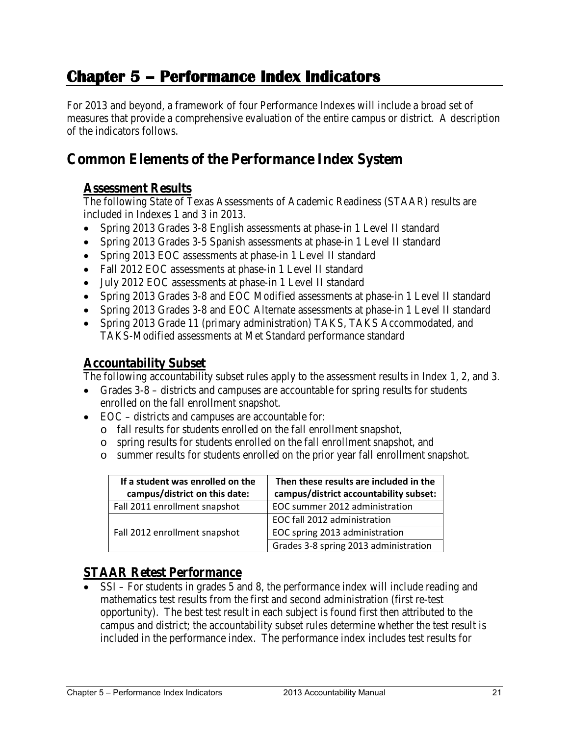# **Chapter 5 – Performance Index Indicators**

For 2013 and beyond, a framework of four Performance Indexes will include a broad set of measures that provide a comprehensive evaluation of the entire campus or district. A description of the indicators follows.

## **Common Elements of the Performance Index System**

## **Assessment Results**

The following State of Texas Assessments of Academic Readiness (STAAR) results are included in Indexes 1 and 3 in 2013.

- Spring 2013 Grades 3-8 English assessments at phase-in 1 Level II standard
- Spring 2013 Grades 3-5 Spanish assessments at phase-in 1 Level II standard
- Spring 2013 EOC assessments at phase-in 1 Level II standard
- Fall 2012 EOC assessments at phase-in 1 Level II standard
- July 2012 EOC assessments at phase-in 1 Level II standard
- Spring 2013 Grades 3-8 and EOC Modified assessments at phase-in 1 Level II standard
- Spring 2013 Grades 3-8 and EOC Alternate assessments at phase-in 1 Level II standard
- Spring 2013 Grade 11 (primary administration) TAKS, TAKS Accommodated, and TAKS-Modified assessments at Met Standard performance standard

## **Accountability Subset**

The following accountability subset rules apply to the assessment results in Index 1, 2, and 3.

- Grades 3-8 districts and campuses are accountable for spring results for students enrolled on the fall enrollment snapshot.
- EOC districts and campuses are accountable for:
	- o fall results for students enrolled on the fall enrollment snapshot,
	- o spring results for students enrolled on the fall enrollment snapshot, and
	- o summer results for students enrolled on the prior year fall enrollment snapshot.

| If a student was enrolled on the<br>campus/district on this date: | Then these results are included in the<br>campus/district accountability subset: |  |
|-------------------------------------------------------------------|----------------------------------------------------------------------------------|--|
| Fall 2011 enrollment snapshot                                     | EOC summer 2012 administration                                                   |  |
|                                                                   | EOC fall 2012 administration                                                     |  |
| Fall 2012 enrollment snapshot                                     | EOC spring 2013 administration                                                   |  |
|                                                                   | Grades 3-8 spring 2013 administration                                            |  |

## **STAAR Retest Performance**

• SSI – For students in grades 5 and 8, the performance index will include reading and mathematics test results from the first and second administration (first re-test opportunity). The best test result in each subject is found first then attributed to the campus and district; the accountability subset rules determine whether the test result is included in the performance index. The performance index includes test results for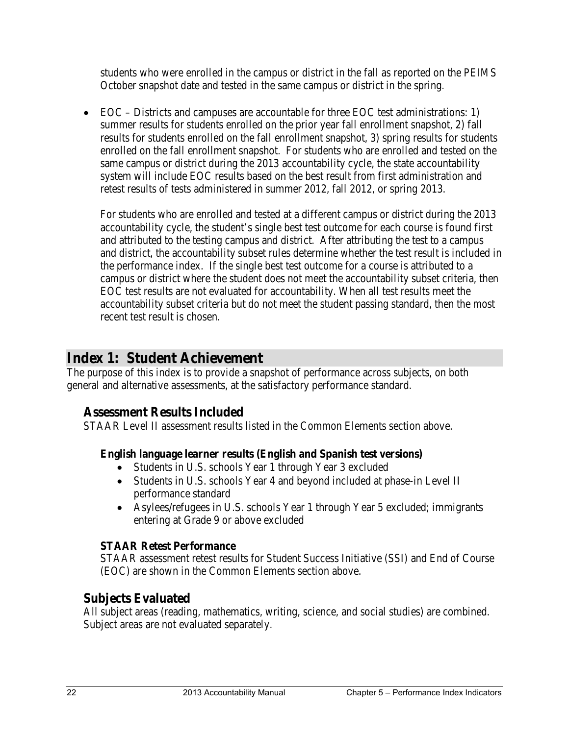students who were enrolled in the campus or district in the fall as reported on the PEIMS October snapshot date and tested in the same campus or district in the spring.

• EOC – Districts and campuses are accountable for three EOC test administrations: 1) summer results for students enrolled on the prior year fall enrollment snapshot, 2) fall results for students enrolled on the fall enrollment snapshot, 3) spring results for students enrolled on the fall enrollment snapshot. For students who are enrolled and tested on the same campus or district during the 2013 accountability cycle, the state accountability system will include EOC results based on the best result from first administration and retest results of tests administered in summer 2012, fall 2012, or spring 2013.

For students who are enrolled and tested at a different campus or district during the 2013 accountability cycle, the student's single best test outcome for each course is found first and attributed to the testing campus and district. After attributing the test to a campus and district, the accountability subset rules determine whether the test result is included in the performance index. If the single best test outcome for a course is attributed to a campus or district where the student does not meet the accountability subset criteria, then EOC test results are not evaluated for accountability. When all test results meet the accountability subset criteria but do not meet the student passing standard, then the most recent test result is chosen.

## **Index 1: Student Achievement**

The purpose of this index is to provide a snapshot of performance across subjects, on both general and alternative assessments, at the satisfactory performance standard.

## **Assessment Results Included**

STAAR Level II assessment results listed in the Common Elements section above.

#### **English language learner results (English and Spanish test versions)**

- Students in U.S. schools Year 1 through Year 3 excluded
- Students in U.S. schools Year 4 and beyond included at phase-in Level II performance standard
- Asylees/refugees in U.S. schools Year 1 through Year 5 excluded; immigrants entering at Grade 9 or above excluded

#### **STAAR Retest Performance**

STAAR assessment retest results for Student Success Initiative (SSI) and End of Course (EOC) are shown in the Common Elements section above.

## **Subjects Evaluated**

All subject areas (reading, mathematics, writing, science, and social studies) are combined. Subject areas are not evaluated separately.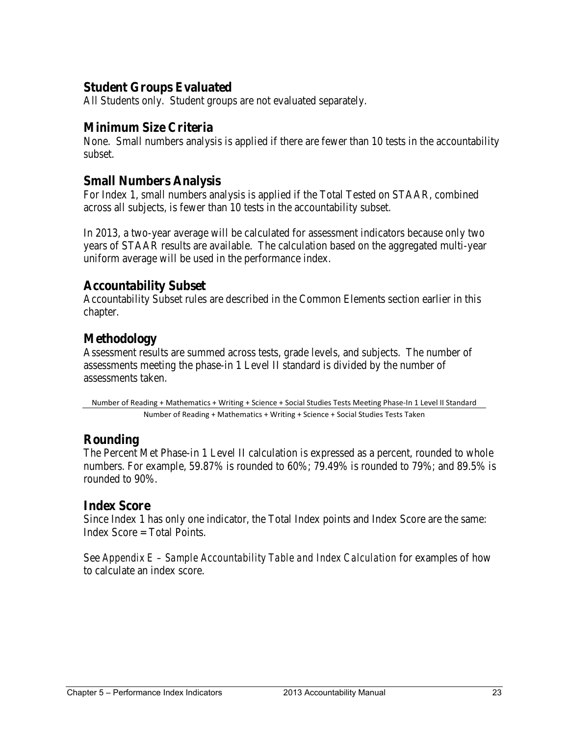## **Student Groups Evaluated**

All Students only. Student groups are not evaluated separately.

### **Minimum Size Criteria**

None. Small numbers analysis is applied if there are fewer than 10 tests in the accountability subset.

#### **Small Numbers Analysis**

For Index 1, small numbers analysis is applied if the Total Tested on STAAR, combined across all subjects, is fewer than 10 tests in the accountability subset.

In 2013, a two-year average will be calculated for assessment indicators because only two years of STAAR results are available. The calculation based on the aggregated multi-year uniform average will be used in the performance index.

#### **Accountability Subset**

Accountability Subset rules are described in the Common Elements section earlier in this chapter.

## **Methodology**

Assessment results are summed across tests, grade levels, and subjects. The number of assessments meeting the phase-in 1 Level II standard is divided by the number of assessments taken.

Number of Reading + Mathematics + Writing + Science + Social Studies Tests Meeting Phase-In 1 Level II Standard Number of Reading + Mathematics + Writing + Science + Social Studies Tests Taken

## **Rounding**

The Percent Met Phase-in 1 Level II calculation is expressed as a percent, rounded to whole numbers. For example, 59.87% is rounded to 60%; 79.49% is rounded to 79%; and 89.5% is rounded to 90%.

#### **Index Score**

Since Index 1 has only one indicator, the Total Index points and Index Score are the same: Index  $Score = Total Points$ .

See *Appendix E – Sample Accountability Table and Index Calculation* for examples of how to calculate an index score.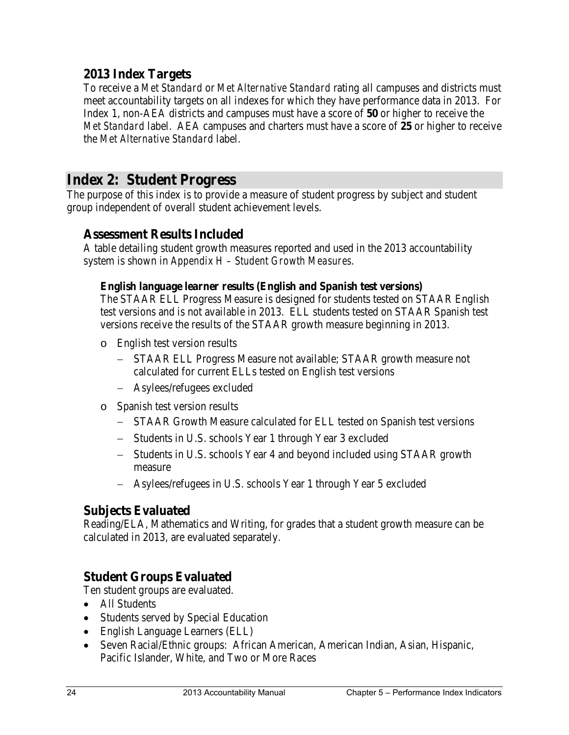## **2013 Index Targets**

To receive a *Met Standard* or *Met Alternative Standard* rating all campuses and districts must meet accountability targets on all indexes for which they have performance data in 2013. For Index 1, non-AEA districts and campuses must have a score of **50** or higher to receive the *Met Standard* label. AEA campuses and charters must have a score of **25** or higher to receive the *Met Alternative Standard* label.

## **Index 2: Student Progress**

The purpose of this index is to provide a measure of student progress by subject and student group independent of overall student achievement levels.

#### **Assessment Results Included**

A table detailing student growth measures reported and used in the 2013 accountability system is shown in *Appendix H – Student Growth Measures*.

#### **English language learner results (English and Spanish test versions)**

The STAAR ELL Progress Measure is designed for students tested on STAAR English test versions and is not available in 2013. ELL students tested on STAAR Spanish test versions receive the results of the STAAR growth measure beginning in 2013.

- o English test version results
	- − STAAR ELL Progress Measure not available; STAAR growth measure not calculated for current ELLs tested on English test versions
	- − Asylees/refugees excluded
- o Spanish test version results
	- − STAAR Growth Measure calculated for ELL tested on Spanish test versions
	- − Students in U.S. schools Year 1 through Year 3 excluded
	- − Students in U.S. schools Year 4 and beyond included using STAAR growth measure
	- − Asylees/refugees in U.S. schools Year 1 through Year 5 excluded

## **Subjects Evaluated**

Reading/ELA, Mathematics and Writing, for grades that a student growth measure can be calculated in 2013, are evaluated separately.

## **Student Groups Evaluated**

Ten student groups are evaluated.

- All Students
- Students served by Special Education
- English Language Learners (ELL)
- Seven Racial/Ethnic groups: African American, American Indian, Asian, Hispanic, Pacific Islander, White, and Two or More Races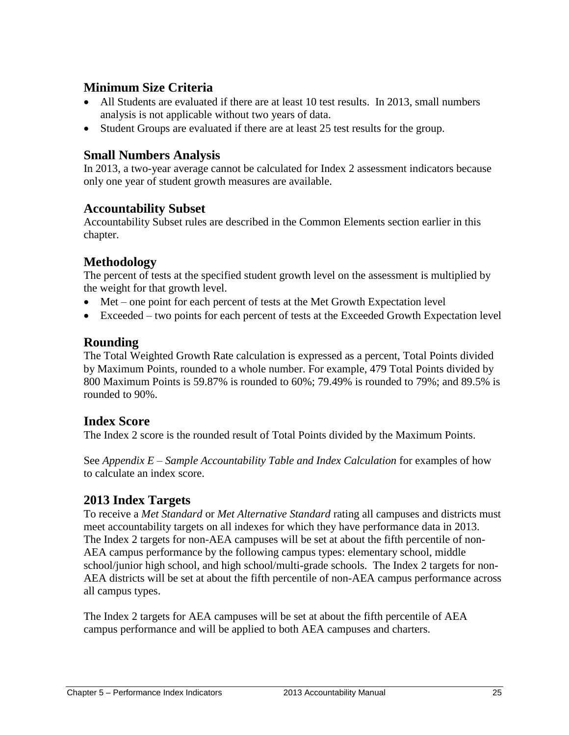## **Minimum Size Criteria**

- All Students are evaluated if there are at least 10 test results. In 2013, small numbers analysis is not applicable without two years of data.
- Student Groups are evaluated if there are at least 25 test results for the group.

## **Small Numbers Analysis**

In 2013, a two-year average cannot be calculated for Index 2 assessment indicators because only one year of student growth measures are available.

### **Accountability Subset**

Accountability Subset rules are described in the Common Elements section earlier in this chapter.

## **Methodology**

The percent of tests at the specified student growth level on the assessment is multiplied by the weight for that growth level.

- Met one point for each percent of tests at the Met Growth Expectation level
- Exceeded two points for each percent of tests at the Exceeded Growth Expectation level

### **Rounding**

The Total Weighted Growth Rate calculation is expressed as a percent, Total Points divided by Maximum Points, rounded to a whole number. For example, 479 Total Points divided by 800 Maximum Points is 59.87% is rounded to 60%; 79.49% is rounded to 79%; and 89.5% is rounded to 90%.

#### **Index Score**

The Index 2 score is the rounded result of Total Points divided by the Maximum Points.

See *Appendix E – Sample Accountability Table and Index Calculation* for examples of how to calculate an index score.

## **2013 Index Targets**

To receive a *Met Standard* or *Met Alternative Standard* rating all campuses and districts must meet accountability targets on all indexes for which they have performance data in 2013. The Index 2 targets for non-AEA campuses will be set at about the fifth percentile of non-AEA campus performance by the following campus types: elementary school, middle school/junior high school, and high school/multi-grade schools. The Index 2 targets for non-AEA districts will be set at about the fifth percentile of non-AEA campus performance across all campus types.

The Index 2 targets for AEA campuses will be set at about the fifth percentile of AEA campus performance and will be applied to both AEA campuses and charters.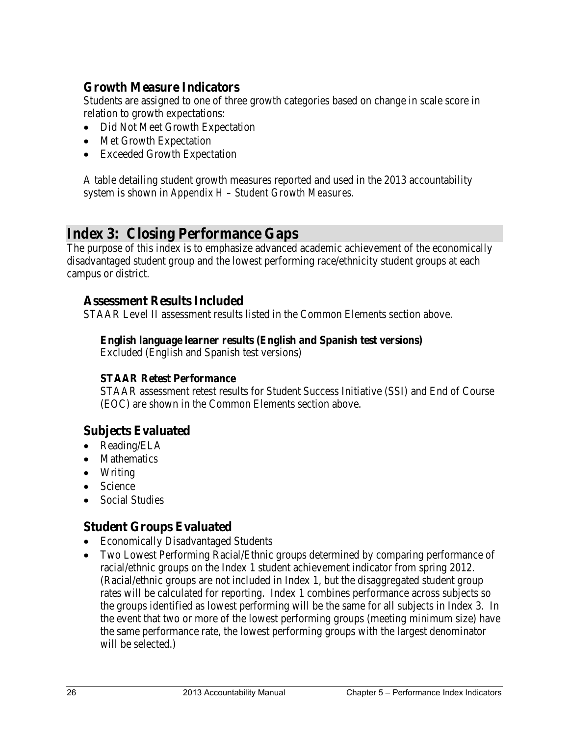## **Growth Measure Indicators**

Students are assigned to one of three growth categories based on change in scale score in relation to growth expectations:

- Did Not Meet Growth Expectation
- Met Growth Expectation
- Exceeded Growth Expectation

A table detailing student growth measures reported and used in the 2013 accountability system is shown in *Appendix H – Student Growth Measures*.

## **Index 3: Closing Performance Gaps**

The purpose of this index is to emphasize advanced academic achievement of the economically disadvantaged student group and the lowest performing race/ethnicity student groups at each campus or district.

#### **Assessment Results Included**

STAAR Level II assessment results listed in the Common Elements section above.

#### **English language learner results (English and Spanish test versions)**

Excluded (English and Spanish test versions)

#### **STAAR Retest Performance**

STAAR assessment retest results for Student Success Initiative (SSI) and End of Course (EOC) are shown in the Common Elements section above.

#### **Subjects Evaluated**

- Reading/ELA
- Mathematics
- Writing
- Science
- Social Studies

## **Student Groups Evaluated**

- Economically Disadvantaged Students
- Two Lowest Performing Racial/Ethnic groups determined by comparing performance of racial/ethnic groups on the Index 1 student achievement indicator from spring 2012. (Racial/ethnic groups are not included in Index 1, but the disaggregated student group rates will be calculated for reporting. Index 1 combines performance across subjects so the groups identified as lowest performing will be the same for all subjects in Index 3. In the event that two or more of the lowest performing groups (meeting minimum size) have the same performance rate, the lowest performing groups with the largest denominator will be selected.)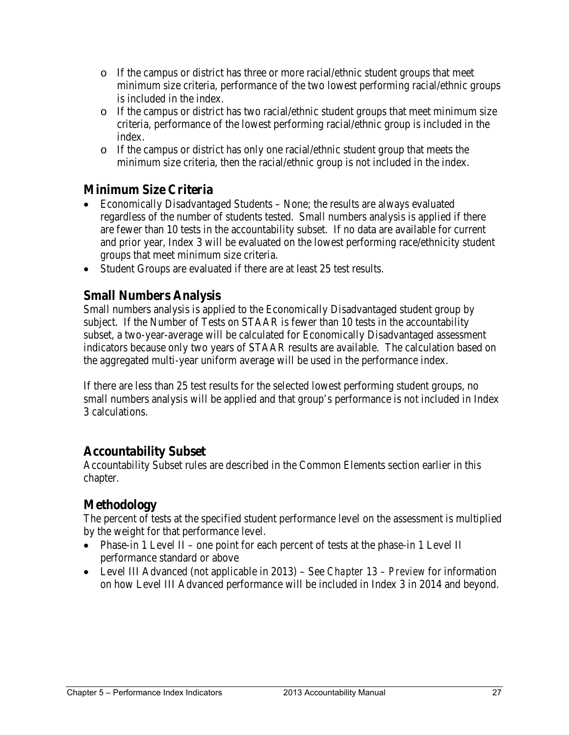- o If the campus or district has three or more racial/ethnic student groups that meet minimum size criteria, performance of the two lowest performing racial/ethnic groups is included in the index.
- o If the campus or district has two racial/ethnic student groups that meet minimum size criteria, performance of the lowest performing racial/ethnic group is included in the index.
- o If the campus or district has only one racial/ethnic student group that meets the minimum size criteria, then the racial/ethnic group is not included in the index.

## **Minimum Size Criteria**

- Economically Disadvantaged Students None; the results are always evaluated regardless of the number of students tested. Small numbers analysis is applied if there are fewer than 10 tests in the accountability subset. If no data are available for current and prior year, Index 3 will be evaluated on the lowest performing race/ethnicity student groups that meet minimum size criteria.
- Student Groups are evaluated if there are at least 25 test results.

### **Small Numbers Analysis**

Small numbers analysis is applied to the Economically Disadvantaged student group by subject. If the Number of Tests on STAAR is fewer than 10 tests in the accountability subset, a two-year-average will be calculated for Economically Disadvantaged assessment indicators because only two years of STAAR results are available. The calculation based on the aggregated multi-year uniform average will be used in the performance index.

If there are less than 25 test results for the selected lowest performing student groups, no small numbers analysis will be applied and that group's performance is not included in Index 3 calculations.

#### **Accountability Subset**

Accountability Subset rules are described in the Common Elements section earlier in this chapter.

## **Methodology**

The percent of tests at the specified student performance level on the assessment is multiplied by the weight for that performance level.

- Phase-in 1 Level II one point for each percent of tests at the phase-in 1 Level II performance standard or above
- Level III Advanced (not applicable in 2013) See *Chapter 13 Preview* for information on how Level III Advanced performance will be included in Index 3 in 2014 and beyond.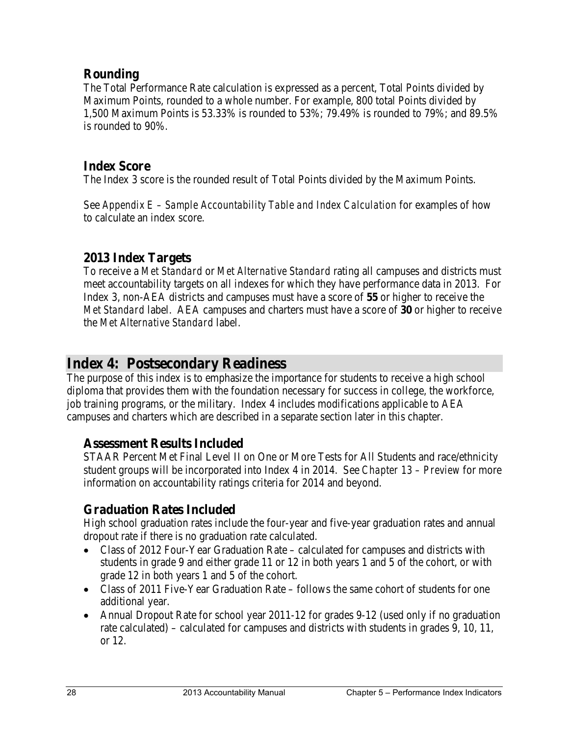## **Rounding**

The Total Performance Rate calculation is expressed as a percent, Total Points divided by Maximum Points, rounded to a whole number. For example, 800 total Points divided by 1,500 Maximum Points is 53.33% is rounded to 53%; 79.49% is rounded to 79%; and 89.5% is rounded to 90%.

## **Index Score**

The Index 3 score is the rounded result of Total Points divided by the Maximum Points.

See *Appendix E – Sample Accountability Table and Index Calculation* for examples of how to calculate an index score.

## **2013 Index Targets**

To receive a *Met Standard* or *Met Alternative Standard* rating all campuses and districts must meet accountability targets on all indexes for which they have performance data in 2013. For Index 3, non-AEA districts and campuses must have a score of **55** or higher to receive the *Met Standard* label. AEA campuses and charters must have a score of **30** or higher to receive the *Met Alternative Standard* label.

## **Index 4: Postsecondary Readiness**

The purpose of this index is to emphasize the importance for students to receive a high school diploma that provides them with the foundation necessary for success in college, the workforce, job training programs, or the military. Index 4 includes modifications applicable to AEA campuses and charters which are described in a separate section later in this chapter.

## **Assessment Results Included**

STAAR Percent Met Final Level II on One or More Tests for All Students and race/ethnicity student groups will be incorporated into Index 4 in 2014. See *Chapter 13 – Preview* for more information on accountability ratings criteria for 2014 and beyond.

## **Graduation Rates Included**

High school graduation rates include the four-year and five-year graduation rates and annual dropout rate if there is no graduation rate calculated.

- Class of 2012 Four-Year Graduation Rate calculated for campuses and districts with students in grade 9 and either grade 11 or 12 in both years 1 and 5 of the cohort, or with grade 12 in both years 1 and 5 of the cohort.
- Class of 2011 Five-Year Graduation Rate follows the same cohort of students for one additional year.
- Annual Dropout Rate for school year 2011-12 for grades 9-12 (used only if no graduation rate calculated) – calculated for campuses and districts with students in grades 9, 10, 11, or 12.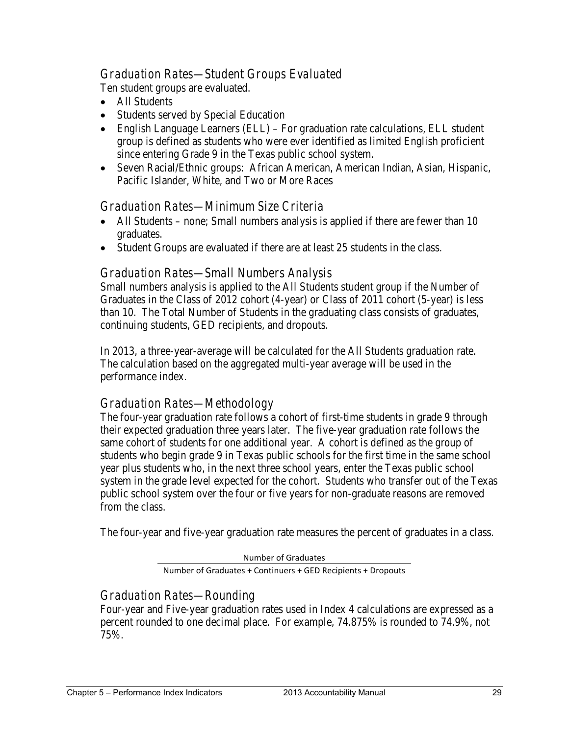### *Graduation Rates—Student Groups Evaluated*

Ten student groups are evaluated.

- All Students
- Students served by Special Education
- English Language Learners (ELL) For graduation rate calculations, ELL student group is defined as students who were ever identified as limited English proficient since entering Grade 9 in the Texas public school system.
- Seven Racial/Ethnic groups: African American, American Indian, Asian, Hispanic, Pacific Islander, White, and Two or More Races

#### *Graduation Rates—Minimum Size Criteria*

- All Students none; Small numbers analysis is applied if there are fewer than 10 graduates.
- Student Groups are evaluated if there are at least 25 students in the class.

#### *Graduation Rates—Small Numbers Analysis*

Small numbers analysis is applied to the All Students student group if the Number of Graduates in the Class of 2012 cohort (4-year) or Class of 2011 cohort (5-year) is less than 10. The Total Number of Students in the graduating class consists of graduates, continuing students, GED recipients, and dropouts.

In 2013, a three-year-average will be calculated for the All Students graduation rate. The calculation based on the aggregated multi-year average will be used in the performance index.

#### *Graduation Rates—Methodology*

The four-year graduation rate follows a cohort of first-time students in grade 9 through their expected graduation three years later. The five-year graduation rate follows the same cohort of students for one additional year. A cohort is defined as the group of students who begin grade 9 in Texas public schools for the first time in the same school year plus students who, in the next three school years, enter the Texas public school system in the grade level expected for the cohort. Students who transfer out of the Texas public school system over the four or five years for non-graduate reasons are removed from the class.

The four-year and five-year graduation rate measures the percent of graduates in a class.

Number of Graduates

Number of Graduates + Continuers + GED Recipients + Dropouts

#### *Graduation Rates—Rounding*

Four-year and Five-year graduation rates used in Index 4 calculations are expressed as a percent rounded to one decimal place. For example, 74.875% is rounded to 74.9%, not 75%.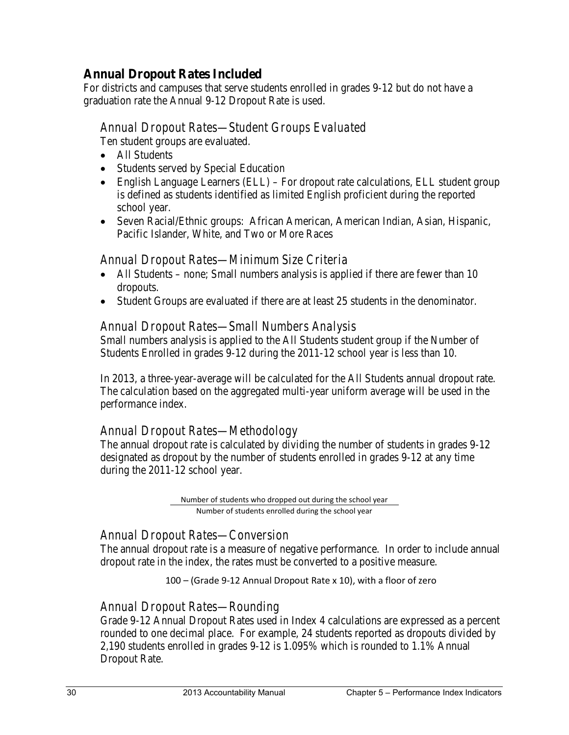## **Annual Dropout Rates Included**

For districts and campuses that serve students enrolled in grades 9-12 but do not have a graduation rate the Annual 9-12 Dropout Rate is used.

#### *Annual Dropout Rates—Student Groups Evaluated*

Ten student groups are evaluated.

- All Students
- Students served by Special Education
- English Language Learners (ELL) For dropout rate calculations, ELL student group is defined as students identified as limited English proficient during the reported school year.
- Seven Racial/Ethnic groups: African American, American Indian, Asian, Hispanic, Pacific Islander, White, and Two or More Races

#### *Annual Dropout Rates—Minimum Size Criteria*

- All Students none; Small numbers analysis is applied if there are fewer than 10 dropouts.
- Student Groups are evaluated if there are at least 25 students in the denominator.

#### *Annual Dropout Rates—Small Numbers Analysis*

Small numbers analysis is applied to the All Students student group if the Number of Students Enrolled in grades 9-12 during the 2011-12 school year is less than 10.

In 2013, a three-year-average will be calculated for the All Students annual dropout rate. The calculation based on the aggregated multi-year uniform average will be used in the performance index.

#### *Annual Dropout Rates—Methodology*

The annual dropout rate is calculated by dividing the number of students in grades 9-12 designated as dropout by the number of students enrolled in grades 9-12 at any time during the 2011-12 school year.

> Number of students who dropped out during the school year Number of students enrolled during the school year

#### *Annual Dropout Rates—Conversion*

The annual dropout rate is a measure of negative performance. In order to include annual dropout rate in the index, the rates must be converted to a positive measure.

100 – (Grade 9-12 Annual Dropout Rate x 10), with a floor of zero

#### *Annual Dropout Rates—Rounding*

Grade 9-12 Annual Dropout Rates used in Index 4 calculations are expressed as a percent rounded to one decimal place. For example, 24 students reported as dropouts divided by 2,190 students enrolled in grades 9-12 is 1.095% which is rounded to 1.1% Annual Dropout Rate.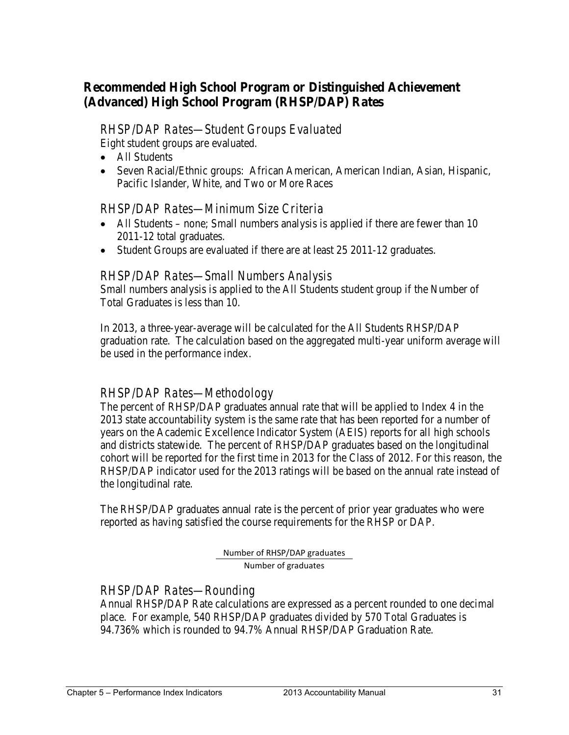## **Recommended High School Program or Distinguished Achievement (Advanced) High School Program (RHSP/DAP) Rates**

#### *RHSP/DAP Rates—Student Groups Evaluated*

Eight student groups are evaluated.

- All Students
- Seven Racial/Ethnic groups: African American, American Indian, Asian, Hispanic, Pacific Islander, White, and Two or More Races

#### *RHSP/DAP Rates—Minimum Size Criteria*

- All Students none; Small numbers analysis is applied if there are fewer than 10 2011-12 total graduates.
- Student Groups are evaluated if there are at least 25 2011-12 graduates.

#### *RHSP/DAP Rates—Small Numbers Analysis*

Small numbers analysis is applied to the All Students student group if the Number of Total Graduates is less than 10.

In 2013, a three-year-average will be calculated for the All Students RHSP/DAP graduation rate. The calculation based on the aggregated multi-year uniform average will be used in the performance index.

#### *RHSP/DAP Rates—Methodology*

The percent of RHSP/DAP graduates annual rate that will be applied to Index 4 in the 2013 state accountability system is the same rate that has been reported for a number of years on the Academic Excellence Indicator System (AEIS) reports for all high schools and districts statewide. The percent of RHSP/DAP graduates based on the longitudinal cohort will be reported for the first time in 2013 for the Class of 2012. For this reason, the RHSP/DAP indicator used for the 2013 ratings will be based on the annual rate instead of the longitudinal rate.

The RHSP/DAP graduates annual rate is the percent of prior year graduates who were reported as having satisfied the course requirements for the RHSP or DAP.

> Number of RHSP/DAP graduates Number of graduates

#### *RHSP/DAP Rates—Rounding*

Annual RHSP/DAP Rate calculations are expressed as a percent rounded to one decimal place. For example, 540 RHSP/DAP graduates divided by 570 Total Graduates is 94.736% which is rounded to 94.7% Annual RHSP/DAP Graduation Rate.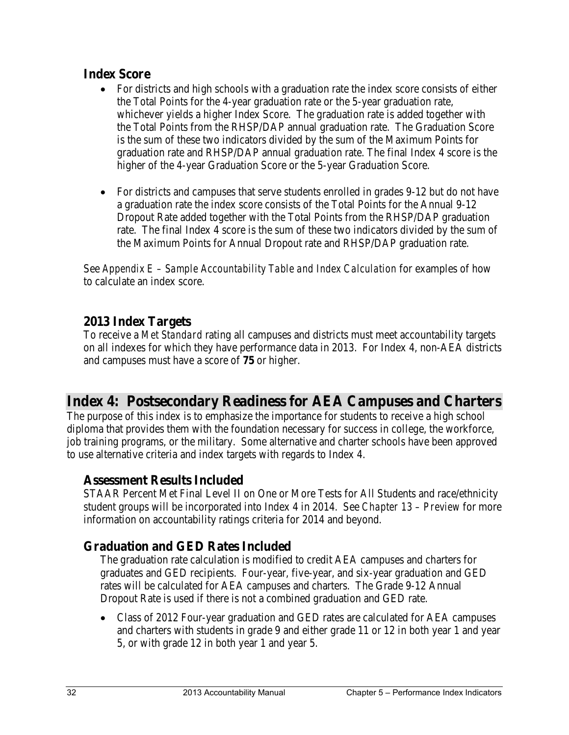### **Index Score**

- For districts and high schools with a graduation rate the index score consists of either the Total Points for the 4-year graduation rate or the 5-year graduation rate, whichever yields a higher Index Score. The graduation rate is added together with the Total Points from the RHSP/DAP annual graduation rate. The Graduation Score is the sum of these two indicators divided by the sum of the Maximum Points for graduation rate and RHSP/DAP annual graduation rate. The final Index 4 score is the higher of the 4-year Graduation Score or the 5-year Graduation Score.
- For districts and campuses that serve students enrolled in grades 9-12 but do not have a graduation rate the index score consists of the Total Points for the Annual 9-12 Dropout Rate added together with the Total Points from the RHSP/DAP graduation rate. The final Index 4 score is the sum of these two indicators divided by the sum of the Maximum Points for Annual Dropout rate and RHSP/DAP graduation rate.

See *Appendix E – Sample Accountability Table and Index Calculation* for examples of how to calculate an index score.

## **2013 Index Targets**

To receive a *Met Standard* rating all campuses and districts must meet accountability targets on all indexes for which they have performance data in 2013. For Index 4, non-AEA districts and campuses must have a score of **75** or higher.

## **Index 4: Postsecondary Readiness for AEA Campuses and Charters**

The purpose of this index is to emphasize the importance for students to receive a high school diploma that provides them with the foundation necessary for success in college, the workforce, job training programs, or the military. Some alternative and charter schools have been approved to use alternative criteria and index targets with regards to Index 4.

## **Assessment Results Included**

STAAR Percent Met Final Level II on One or More Tests for All Students and race/ethnicity student groups will be incorporated into Index 4 in 2014. See *Chapter 13 – Preview* for more information on accountability ratings criteria for 2014 and beyond.

## **Graduation and GED Rates Included**

The graduation rate calculation is modified to credit AEA campuses and charters for graduates and GED recipients. Four-year, five-year, and six-year graduation and GED rates will be calculated for AEA campuses and charters. The Grade 9-12 Annual Dropout Rate is used if there is not a combined graduation and GED rate.

• Class of 2012 Four-year graduation and GED rates are calculated for AEA campuses and charters with students in grade 9 and either grade 11 or 12 in both year 1 and year 5, or with grade 12 in both year 1 and year 5.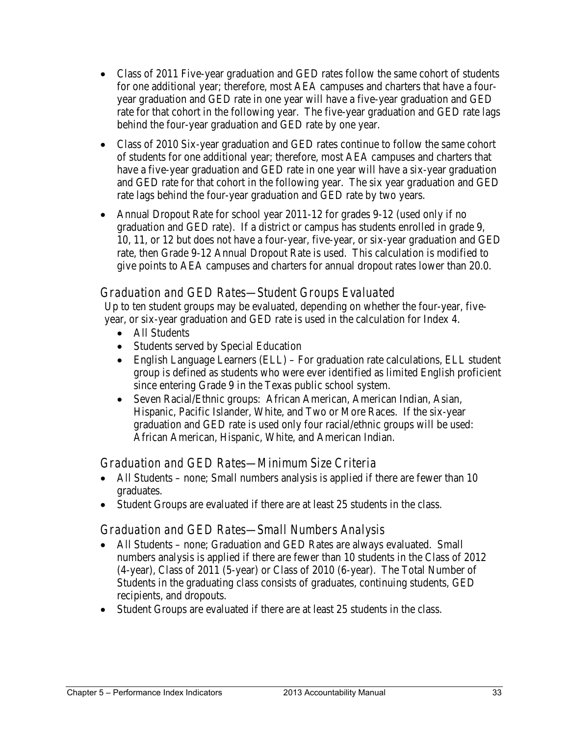- Class of 2011 Five-year graduation and GED rates follow the same cohort of students for one additional year; therefore, most AEA campuses and charters that have a fouryear graduation and GED rate in one year will have a five-year graduation and GED rate for that cohort in the following year. The five-year graduation and GED rate lags behind the four-year graduation and GED rate by one year.
- Class of 2010 Six-year graduation and GED rates continue to follow the same cohort of students for one additional year; therefore, most AEA campuses and charters that have a five-year graduation and GED rate in one year will have a six-year graduation and GED rate for that cohort in the following year. The six year graduation and GED rate lags behind the four-year graduation and GED rate by two years.
- Annual Dropout Rate for school year 2011-12 for grades 9-12 (used only if no graduation and GED rate). If a district or campus has students enrolled in grade 9, 10, 11, or 12 but does not have a four-year, five-year, or six-year graduation and GED rate, then Grade 9-12 Annual Dropout Rate is used. This calculation is modified to give points to AEA campuses and charters for annual dropout rates lower than 20.0.

## *Graduation and GED Rates—Student Groups Evaluated*

Up to ten student groups may be evaluated, depending on whether the four-year, fiveyear, or six-year graduation and GED rate is used in the calculation for Index 4.

- All Students
- Students served by Special Education
- English Language Learners (ELL) For graduation rate calculations, ELL student group is defined as students who were ever identified as limited English proficient since entering Grade 9 in the Texas public school system.
- Seven Racial/Ethnic groups: African American, American Indian, Asian, Hispanic, Pacific Islander, White, and Two or More Races. If the six-year graduation and GED rate is used only four racial/ethnic groups will be used: African American, Hispanic, White, and American Indian.

#### *Graduation and GED Rates—Minimum Size Criteria*

- All Students none; Small numbers analysis is applied if there are fewer than 10 graduates.
- Student Groups are evaluated if there are at least 25 students in the class.

#### *Graduation and GED Rates—Small Numbers Analysis*

- All Students none; Graduation and GED Rates are always evaluated. Small numbers analysis is applied if there are fewer than 10 students in the Class of 2012 (4-year), Class of 2011 (5-year) or Class of 2010 (6-year). The Total Number of Students in the graduating class consists of graduates, continuing students, GED recipients, and dropouts.
- Student Groups are evaluated if there are at least 25 students in the class.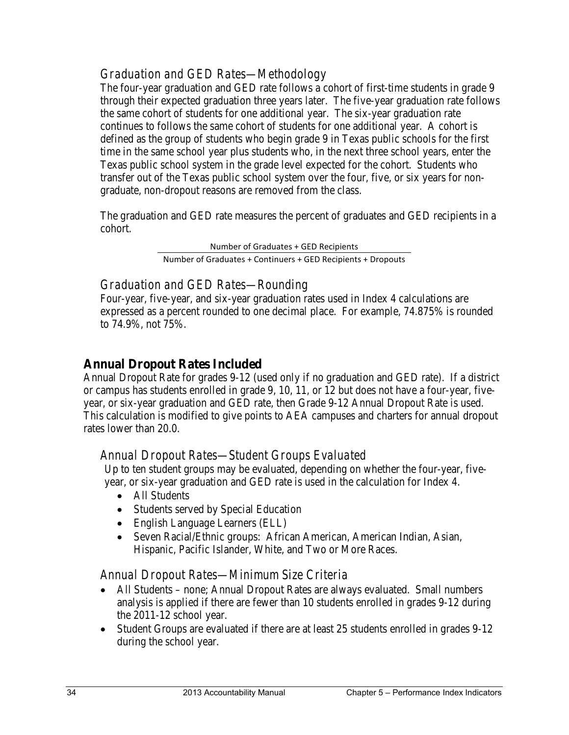## *Graduation and GED Rates—Methodology*

The four-year graduation and GED rate follows a cohort of first-time students in grade 9 through their expected graduation three years later. The five-year graduation rate follows the same cohort of students for one additional year. The six-year graduation rate continues to follows the same cohort of students for one additional year. A cohort is defined as the group of students who begin grade 9 in Texas public schools for the first time in the same school year plus students who, in the next three school years, enter the Texas public school system in the grade level expected for the cohort. Students who transfer out of the Texas public school system over the four, five, or six years for nongraduate, non-dropout reasons are removed from the class.

The graduation and GED rate measures the percent of graduates and GED recipients in a cohort.

> Number of Graduates + GED Recipients Number of Graduates + Continuers + GED Recipients + Dropouts

## *Graduation and GED Rates—Rounding*

Four-year, five-year, and six-year graduation rates used in Index 4 calculations are expressed as a percent rounded to one decimal place. For example, 74.875% is rounded to 74.9%, not 75%.

## **Annual Dropout Rates Included**

Annual Dropout Rate for grades 9-12 (used only if no graduation and GED rate). If a district or campus has students enrolled in grade 9, 10, 11, or 12 but does not have a four-year, fiveyear, or six-year graduation and GED rate, then Grade 9-12 Annual Dropout Rate is used. This calculation is modified to give points to AEA campuses and charters for annual dropout rates lower than 20.0.

## *Annual Dropout Rates—Student Groups Evaluated*

Up to ten student groups may be evaluated, depending on whether the four-year, fiveyear, or six-year graduation and GED rate is used in the calculation for Index 4.

- All Students
- Students served by Special Education
- English Language Learners (ELL)
- Seven Racial/Ethnic groups: African American, American Indian, Asian, Hispanic, Pacific Islander, White, and Two or More Races.

#### *Annual Dropout Rates—Minimum Size Criteria*

- All Students none; Annual Dropout Rates are always evaluated. Small numbers analysis is applied if there are fewer than 10 students enrolled in grades 9-12 during the 2011-12 school year.
- Student Groups are evaluated if there are at least 25 students enrolled in grades 9-12 during the school year.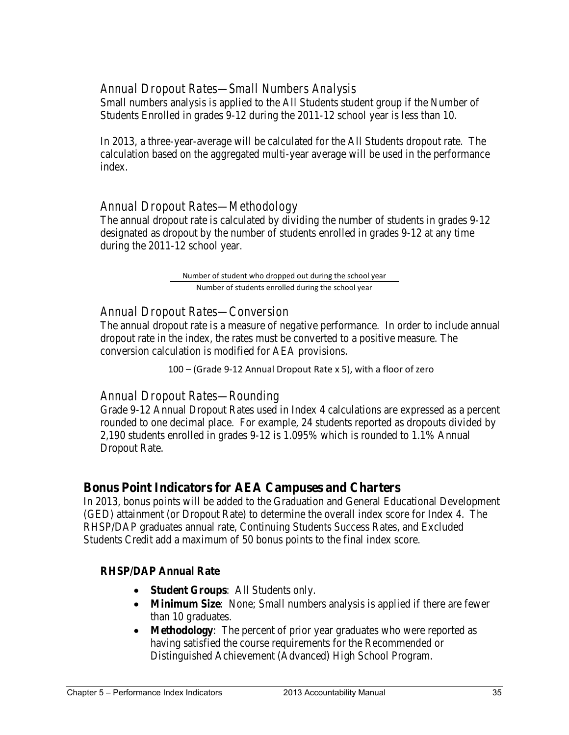#### *Annual Dropout Rates—Small Numbers Analysis*

Small numbers analysis is applied to the All Students student group if the Number of Students Enrolled in grades 9-12 during the 2011-12 school year is less than 10.

In 2013, a three-year-average will be calculated for the All Students dropout rate. The calculation based on the aggregated multi-year average will be used in the performance index.

### *Annual Dropout Rates—Methodology*

The annual dropout rate is calculated by dividing the number of students in grades 9-12 designated as dropout by the number of students enrolled in grades 9-12 at any time during the 2011-12 school year.

> Number of student who dropped out during the school year Number of students enrolled during the school year

## *Annual Dropout Rates—Conversion*

The annual dropout rate is a measure of negative performance. In order to include annual dropout rate in the index, the rates must be converted to a positive measure. The conversion calculation is modified for AEA provisions.

100 – (Grade 9-12 Annual Dropout Rate x 5), with a floor of zero

#### *Annual Dropout Rates—Rounding*

Grade 9-12 Annual Dropout Rates used in Index 4 calculations are expressed as a percent rounded to one decimal place. For example, 24 students reported as dropouts divided by 2,190 students enrolled in grades 9-12 is 1.095% which is rounded to 1.1% Annual Dropout Rate.

#### **Bonus Point Indicators for AEA Campuses and Charters**

In 2013, bonus points will be added to the Graduation and General Educational Development (GED) attainment (or Dropout Rate) to determine the overall index score for Index 4. The RHSP/DAP graduates annual rate, Continuing Students Success Rates, and Excluded Students Credit add a maximum of 50 bonus points to the final index score.

#### **RHSP/DAP Annual Rate**

- **Student Groups**: All Students only.
- **Minimum Size**: None; Small numbers analysis is applied if there are fewer than 10 graduates.
- **Methodology**: The percent of prior year graduates who were reported as having satisfied the course requirements for the Recommended or Distinguished Achievement (Advanced) High School Program.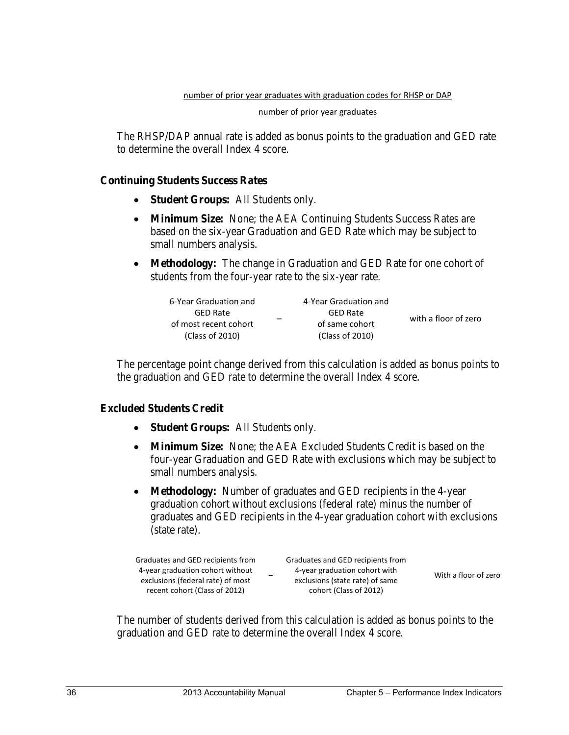number of prior year graduates

The RHSP/DAP annual rate is added as bonus points to the graduation and GED rate to determine the overall Index 4 score.

#### **Continuing Students Success Rates**

- **Student Groups:** All Students only.
- **Minimum Size:** None; the AEA Continuing Students Success Rates are based on the six-year Graduation and GED Rate which may be subject to small numbers analysis.
- **Methodology:** The change in Graduation and GED Rate for one cohort of students from the four-year rate to the six-year rate.

| 6-Year Graduation and | 4-Year Graduation and |                      |
|-----------------------|-----------------------|----------------------|
| <b>GED Rate</b>       | <b>GED Rate</b>       | with a floor of zero |
| of most recent cohort | of same cohort        |                      |
| (Class of 2010)       | (Class of 2010)       |                      |

The percentage point change derived from this calculation is added as bonus points to the graduation and GED rate to determine the overall Index 4 score.

#### **Excluded Students Credit**

- **Student Groups:** All Students only.
- **Minimum Size:** None; the AEA Excluded Students Credit is based on the four-year Graduation and GED Rate with exclusions which may be subject to small numbers analysis.
- **Methodology:** Number of graduates and GED recipients in the 4-year graduation cohort without exclusions (federal rate) minus the number of graduates and GED recipients in the 4-year graduation cohort with exclusions (state rate).

| -<br>exclusions (federal rate) of most<br>exclusions (state rate) of same<br>recent cohort (Class of 2012)<br>cohort (Class of 2012) | Graduates and GED recipients from<br>4-year graduation cohort without | Graduates and GED recipients from<br>4-year graduation cohort with | With a floor of zero |
|--------------------------------------------------------------------------------------------------------------------------------------|-----------------------------------------------------------------------|--------------------------------------------------------------------|----------------------|
|                                                                                                                                      |                                                                       |                                                                    |                      |

The number of students derived from this calculation is added as bonus points to the graduation and GED rate to determine the overall Index 4 score.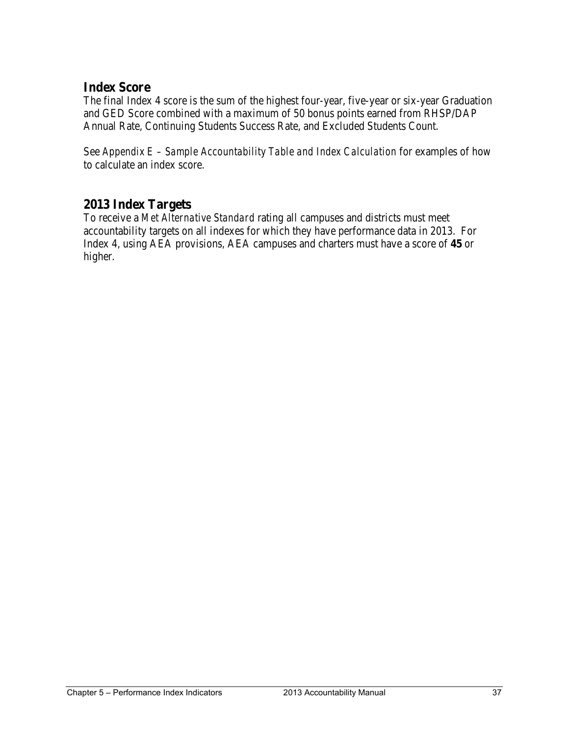## **Index Score**

The final Index 4 score is the sum of the highest four-year, five-year or six-year Graduation and GED Score combined with a maximum of 50 bonus points earned from RHSP/DAP Annual Rate, Continuing Students Success Rate, and Excluded Students Count.

See *Appendix E – Sample Accountability Table and Index Calculation* for examples of how to calculate an index score.

## **2013 Index Targets**

To receive a *Met Alternative Standard* rating all campuses and districts must meet accountability targets on all indexes for which they have performance data in 2013. For Index 4, using AEA provisions, AEA campuses and charters must have a score of **45** or higher.